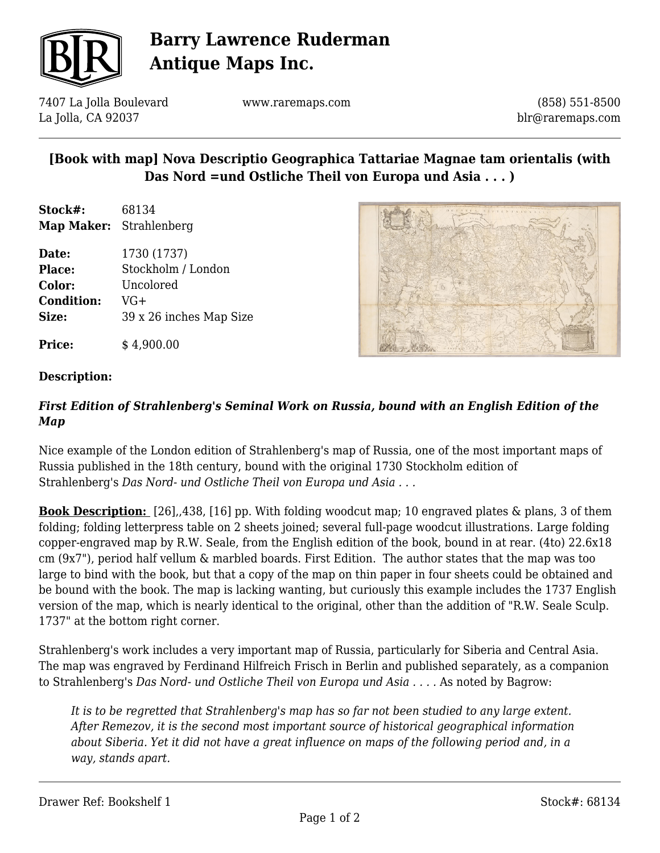

# **Barry Lawrence Ruderman Antique Maps Inc.**

7407 La Jolla Boulevard La Jolla, CA 92037

www.raremaps.com

(858) 551-8500 blr@raremaps.com

## **[Book with map] Nova Descriptio Geographica Tattariae Magnae tam orientalis (with Das Nord =und Ostliche Theil von Europa und Asia . . . )**

**Stock#:** 68134 **Map Maker:** Strahlenberg

**Price:**  $$4,900.00$ 

**Date:** 1730 (1737) **Place:** Stockholm / London **Color:** Uncolored **Condition:** VG+ **Size:** 39 x 26 inches Map Size



### **Description:**

### *First Edition of Strahlenberg's Seminal Work on Russia, bound with an English Edition of the Map*

Nice example of the London edition of Strahlenberg's map of Russia, one of the most important maps of Russia published in the 18th century, bound with the original 1730 Stockholm edition of Strahlenberg's *Das Nord- und Ostliche Theil von Europa und Asia . . .*

**Book Description:** [26],,438, [16] pp. With folding woodcut map; 10 engraved plates & plans, 3 of them folding; folding letterpress table on 2 sheets joined; several full-page woodcut illustrations. Large folding copper-engraved map by R.W. Seale, from the English edition of the book, bound in at rear. (4to) 22.6x18 cm (9x7"), period half vellum & marbled boards. First Edition. The author states that the map was too large to bind with the book, but that a copy of the map on thin paper in four sheets could be obtained and be bound with the book. The map is lacking wanting, but curiously this example includes the 1737 English version of the map, which is nearly identical to the original, other than the addition of "R.W. Seale Sculp. 1737" at the bottom right corner.

Strahlenberg's work includes a very important map of Russia, particularly for Siberia and Central Asia. The map was engraved by Ferdinand Hilfreich Frisch in Berlin and published separately, as a companion to Strahlenberg's *Das Nord- und Ostliche Theil von Europa und Asia . . . .* As noted by Bagrow:

*It is to be regretted that Strahlenberg's map has so far not been studied to any large extent. After Remezov, it is the second most important source of historical geographical information about Siberia. Yet it did not have a great influence on maps of the following period and, in a way, stands apart.*